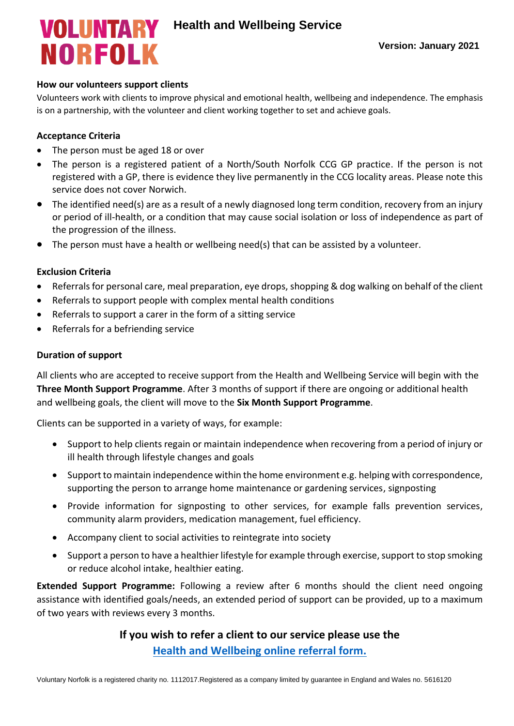# **NORFOLK**

## **How our volunteers support clients**

Volunteers work with clients to improve physical and emotional health, wellbeing and independence. The emphasis is on a partnership, with the volunteer and client working together to set and achieve goals.

## **Acceptance Criteria**

- The person must be aged 18 or over
- The person is a registered patient of a North/South Norfolk CCG GP practice. If the person is not registered with a GP, there is evidence they live permanently in the CCG locality areas. Please note this service does not cover Norwich.
- The identified need(s) are as a result of a newly diagnosed long term condition, recovery from an injury or period of ill-health, or a condition that may cause social isolation or loss of independence as part of the progression of the illness.
- The person must have a health or wellbeing need(s) that can be assisted by a volunteer.

#### **Exclusion Criteria**

- Referrals for personal care, meal preparation, eye drops, shopping & dog walking on behalf of the client
- Referrals to support people with complex mental health conditions
- Referrals to support a carer in the form of a sitting service
- Referrals for a befriending service

#### **Duration of support**

All clients who are accepted to receive support from the Health and Wellbeing Service will begin with the **Three Month Support Programme**. After 3 months of support if there are ongoing or additional health and wellbeing goals, the client will move to the **Six Month Support Programme**.

Clients can be supported in a variety of ways, for example:

- Support to help clients regain or maintain independence when recovering from a period of injury or ill health through lifestyle changes and goals
- Support to maintain independence within the home environment e.g. helping with correspondence, supporting the person to arrange home maintenance or gardening services, signposting
- Provide information for signposting to other services, for example falls prevention services, community alarm providers, medication management, fuel efficiency.
- Accompany client to social activities to reintegrate into society
- Support a person to have a healthier lifestyle for example through exercise, support to stop smoking or reduce alcohol intake, healthier eating.

**Extended Support Programme:** Following a review after 6 months should the client need ongoing assistance with identified goals/needs, an extended period of support can be provided, up to a maximum of two years with reviews every 3 months.

# **If you wish to refer a client to our service please use the [Health and Wellbeing online referral form.](https://www.voluntarynorfolk.org.uk/health-wellbeing-service-referral-form/)**